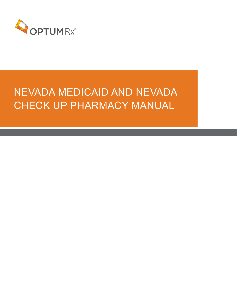

# NEVADA MEDICAID AND NEVADA CHECK UP PHARMACY MANUAL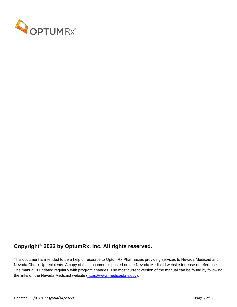

# **Copyright© 2022 by OptumRx, Inc. All rights reserved.**

This document is intended to be a helpful resource to OptumRx Pharmacies providing services to Nevada Medicaid and Nevada Check Up recipients. A copy of this document is posted on the Nevada Medicaid website for ease of reference. The manual is updated regularly with program changes. The most current version of the manual can be found by following the links on the Nevada Medicaid website [\(https://www.medicaid.nv.gov\)](https://www.medicaid.nv.gov/).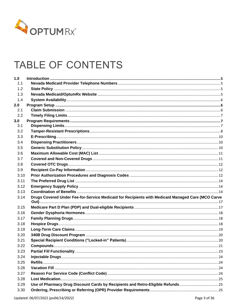

# TABLE OF CONTENTS

| 1.0  |                                                                                                   |  |
|------|---------------------------------------------------------------------------------------------------|--|
| 1.1  |                                                                                                   |  |
| 1.2  |                                                                                                   |  |
| 1.3  |                                                                                                   |  |
| 1.4  |                                                                                                   |  |
| 2.0  |                                                                                                   |  |
| 2.1  |                                                                                                   |  |
| 2.2  |                                                                                                   |  |
| 3.0  |                                                                                                   |  |
| 3.1  |                                                                                                   |  |
| 3.2  |                                                                                                   |  |
| 3.3  |                                                                                                   |  |
| 3.4  |                                                                                                   |  |
| 3.5  |                                                                                                   |  |
| 3.6  |                                                                                                   |  |
| 3.7  |                                                                                                   |  |
| 3.8  |                                                                                                   |  |
| 3.9  |                                                                                                   |  |
| 3.10 |                                                                                                   |  |
| 3.11 |                                                                                                   |  |
| 3.12 |                                                                                                   |  |
| 3.13 |                                                                                                   |  |
| 3.14 | Drugs Covered Under Fee-for-Service Medicaid for Recipients with Medicaid Managed Care (MCO Carve |  |
| 3.15 |                                                                                                   |  |
| 3.16 |                                                                                                   |  |
| 3.17 |                                                                                                   |  |
| 3.18 |                                                                                                   |  |
| 3.19 |                                                                                                   |  |
| 3.20 |                                                                                                   |  |
| 3.21 |                                                                                                   |  |
| 3.22 |                                                                                                   |  |
| 3.23 |                                                                                                   |  |
| 3.24 |                                                                                                   |  |
| 3.25 |                                                                                                   |  |
| 3.26 |                                                                                                   |  |
| 3.27 |                                                                                                   |  |
| 3.28 |                                                                                                   |  |
| 3.29 | Use of Pharmacy Drug Discount Cards by Recipients and Retro-Eligible Refunds25                    |  |
| 3.30 |                                                                                                   |  |
|      |                                                                                                   |  |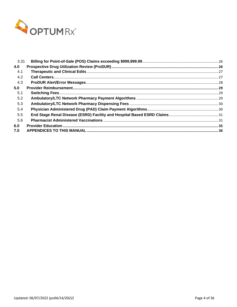

| 3.31 |  |
|------|--|
| 4.0  |  |
| 4.1  |  |
| 4.2  |  |
| 4.3  |  |
| 5.0  |  |
| 5.1  |  |
| 5.2  |  |
| 5.3  |  |
| 5.4  |  |
| 5.5  |  |
| 5.6  |  |
| 6.0  |  |
| 7.0  |  |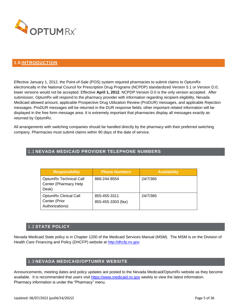

## <span id="page-4-0"></span>**1.0 INTRODUCTION**

Effective January 1, 2012, the Point-of-Sale (POS) system required pharmacies to submit claims to OptumRx electronically in the National Council for Prescription Drug Programs (NCPDP) standardized Version 5.1 or Version D.0; lower versions would not be accepted. Effective **April 1, 2012**, NCPDP Version D.0 is the only version accepted. After submission, OptumRx will respond to the pharmacy provider with information regarding recipient eligibility, Nevada Medicaid allowed amount, applicable Prospective Drug Utilization Review (ProDUR) messages, and applicable Rejection messages. ProDUR messages will be returned in the DUR response fields; other important related information will be displayed in the free form message area. It is extremely important that pharmacies display all messages exactly as returned by OptumRx.

All arrangements with switching companies should be handled directly by the pharmacy with their preferred switching company. Pharmacies must submit claims within 90 days of the date of service.

# <span id="page-4-1"></span>1.1 **NEVADA MEDICAID PROVIDER TELEPHONE NUMBERS**

| <b>Responsibility</b>                                            | <b>Phone Numbers</b>               | <b>Availability</b> |
|------------------------------------------------------------------|------------------------------------|---------------------|
| <b>OptumRx Technical Call</b><br>Center (Pharmacy Help<br>Desk)  | 866-244-8554                       | 24/7/365            |
| <b>OptumRx Clinical Call</b><br>Center (Prior<br>Authorizations) | 855-455-3311<br>855-455-3303 (fax) | 24/7/365            |

## 1.2 **STATE POLICY**

<span id="page-4-2"></span>Nevada Medicaid State policy is in Chapter 1200 of the Medicaid Services Manual (MSM). The MSM is on the Division of Health Care Financing and Policy (DHCFP) website at [http://dhcfp.nv.gov](http://dhcfp.nv.gov/)

#### 1.3 **NEVADA MEDICAID/OPTUMRX WEBSITE**

<span id="page-4-3"></span>Announcements, meeting dates and policy updates are posted to the Nevada Medicaid/OptumRx website as they become available. It is recommended that users visit [https://www.medicaid.nv.gov](https://www.medicaid.nv.gov/) weekly to view the latest information. Pharmacy information is under the "Pharmacy" menu.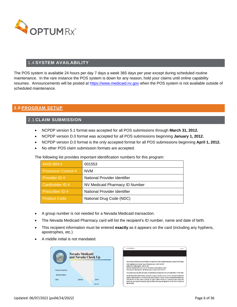

# 1.4 **SYSTEM AVAILABILITY**

<span id="page-5-0"></span>The POS system is available 24 hours per day 7 days a week 365 days per year except during scheduled routine maintenance. In the rare instance the POS system is down for any reason, hold your claims until online capability resumes. Announcements will be posted at [https://www.medicaid.nv.gov](https://www.medicaid.nv.gov/) when the POS system is not available outside of scheduled maintenance.

## <span id="page-5-2"></span><span id="page-5-1"></span>**2.0 PROGRAM SETUP**

## 2.1 **CLAIM SUBMISSION**

- NCPDP version 5.1 format was accepted for all POS submissions through **March 31, 2012.**
- NCPDP version D.0 format was accepted for all POS submissions beginning **January 1, 2012.**
- NCPDP version D.0 format is the only accepted format for all POS submissions beginning **April 1, 2012.**
- No other POS claim submission formats are accepted.

The following list provides important identification numbers for this program:

| ANSI BIN #                 | 001553                         |  |
|----------------------------|--------------------------------|--|
| <b>Processor Control #</b> | <b>NVM</b>                     |  |
| Provider ID #              | National Provider Identifier   |  |
| Cardholder ID #            | NV Medicaid Pharmacy ID Number |  |
| Prescriber ID #            | National Provider Identifier   |  |
| <b>Product Code</b>        | National Drug Code (NDC)       |  |

- A group number is not needed for a Nevada Medicaid transaction.
- The Nevada Medicaid Pharmacy card will list the recipient's ID number, name and date of birth.
- This recipient information must be entered **exactly** as it appears on the card (including any hyphens, apostrophes, etc.)
- A middle initial is not mandated.



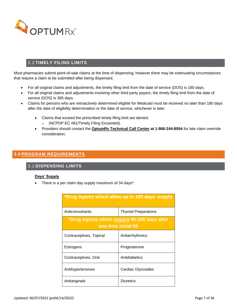

# 2.2 **TIMELY FILING LIMITS**

<span id="page-6-0"></span>Most pharmacies submit point-of-sale claims at the time of dispensing; however there may be extenuating circumstances that require a claim to be submitted after being dispensed.

- For all original claims and adjustments, the timely filing limit from the date of service (DOS) is 180 days.
- For all original claims and adjustments involving other third party payers, the timely filing limit from the date of service (DOS) is 365 days.
- Claims for persons who are retroactively determined eligible for Medicaid must be received no later than 180 days after the date of eligibility determination or the date of service, whichever is later.
	- Claims that exceed the prescribed timely filing limit are denied.
		- o (NCPDP EC #81/Timely Filing Exceeded).
	- Providers should contact the **OptumRx Technical Call Center at 1-866-244-8554** for late claim override consideration.

# <span id="page-6-2"></span><span id="page-6-1"></span>**3.0 PROGRAM REQUIREMENTS**

## 3.1 **DISPENSING LIMITS**

#### **Days' Supply**

• There is a per claim day supply maximum of 34 days\*.

| *Drug Agents which allow up to 100 days' supply                       |                             |  |  |
|-----------------------------------------------------------------------|-----------------------------|--|--|
| Anticonvulsants                                                       | <b>Thyroid Preparations</b> |  |  |
| *Drug Agents which require 90-100 days after<br>one-time initial fill |                             |  |  |
| Contraceptives, Topical                                               | Antiarrhythmics             |  |  |
| Estrogens                                                             | Progesterone                |  |  |
| Contraceptives, Oral                                                  | Antidiabetics               |  |  |
| Antihypertensives                                                     | Cardiac Glycosides          |  |  |
| Antianginals                                                          | Diuretics                   |  |  |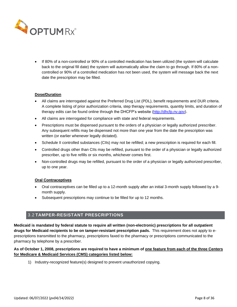

• If 80% of a non-controlled or 90% of a controlled medication has been utilized (the system will calculate back to the original fill date) the system will automatically allow the claim to go through. If 80% of a noncontrolled or 90% of a controlled medication has not been used, the system will message back the next date the prescription may be filled.

#### **Dose/Duration**

- All claims are interrogated against the Preferred Drug List (PDL), benefit requirements and DUR criteria. A complete listing of prior authorization criteria, step therapy requirements, quantity limits, and duration of therapy edits can be found online through the DHCFP's website [\(http://dhcfp.nv.gov\)](http://dhcfp.nv.gov/).
- All claims are interrogated for compliance with state and federal requirements.
- Prescriptions must be dispensed pursuant to the orders of a physician or legally authorized prescriber. Any subsequent refills may be dispensed not more than one year from the date the prescription was written (or earlier whenever legally dictated).
- Schedule II controlled substances (CIIs) may not be refilled; a new prescription is required for each fill.
- Controlled drugs other than CIIs may be refilled, pursuant to the order of a physician or legally authorized prescriber, up to five refills or six months, whichever comes first.
- Non-controlled drugs may be refilled, pursuant to the order of a physician or legally authorized prescriber, up to one year.

#### **Oral Contraceptives**

- Oral contraceptives can be filled up to a 12-month supply after an initial 3-month supply followed by a 9 month supply.
- Subsequent prescriptions may continue to be filled for up to 12 months.

## 3.2 **TAMPER-RESISTANT PRESCRIPTIONS**

<span id="page-7-0"></span>**Medicaid is mandated by federal statute to require all written (non-electronic) prescriptions for all outpatient drugs for Medicaid recipients to be on tamper-resistant prescription pads.** This requirement does not apply to eprescriptions transmitted to the pharmacy, prescriptions faxed to the pharmacy or prescriptions communicated to the pharmacy by telephone by a prescriber.

## **As of October 1, 2008, prescriptions are required to have a minimum of one feature from each of the three Centers for Medicare & Medicaid Services (CMS) categories listed below:**

1) Industry-recognized feature(s) designed to prevent unauthorized copying.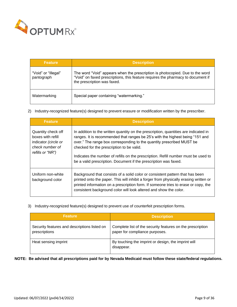

| <b>Feature</b>                    | <b>Description</b>                                                                                                                                                                               |  |
|-----------------------------------|--------------------------------------------------------------------------------------------------------------------------------------------------------------------------------------------------|--|
| "Void" or "Illegal"<br>pantograph | The word "Void" appears when the prescription is photocopied. Due to the word<br>"Void" on faxed prescriptions, this feature requires the pharmacy to document if<br>the prescription was faxed. |  |
| Watermarking                      | Special paper containing "watermarking."                                                                                                                                                         |  |

2) Industry-recognized feature(s) designed to prevent erasure or modification written by the prescriber.

| <b>Feature</b>                                                                                         | <b>Description</b>                                                                                                                                                                                                                                                                                                                                                                                                                                    |
|--------------------------------------------------------------------------------------------------------|-------------------------------------------------------------------------------------------------------------------------------------------------------------------------------------------------------------------------------------------------------------------------------------------------------------------------------------------------------------------------------------------------------------------------------------------------------|
| Quantity check off<br>boxes with refill<br>indicator (circle or<br>check number of<br>refills or "NR") | In addition to the written quantity on the prescription, quantities are indicated in<br>ranges. It is recommended that ranges be 25's with the highest being "151 and<br>over." The range box corresponding to the quantity prescribed MUST be<br>checked for the prescription to be valid.<br>Indicates the number of refills on the prescription. Refill number must be used to<br>be a valid prescription. Document if the prescription was faxed. |
| Uniform non-white<br>background color                                                                  | Background that consists of a solid color or consistent pattern that has been<br>printed onto the paper. This will inhibit a forger from physically erasing written or<br>printed information on a prescription form. If someone tries to erase or copy, the<br>consistent background color will look altered and show the color.                                                                                                                     |

3) Industry-recognized feature(s) designed to prevent use of counterfeit prescription forms.

| <b>Feature</b>                                                | <b>Description</b>                                                                           |
|---------------------------------------------------------------|----------------------------------------------------------------------------------------------|
| Security features and descriptions listed on<br>prescriptions | Complete list of the security features on the prescription<br>paper for compliance purposes. |
| Heat sensing imprint                                          | By touching the imprint or design, the imprint will<br>disappear.                            |

**NOTE: Be advised that all prescriptions paid for by Nevada Medicaid must follow these state/federal regulations.**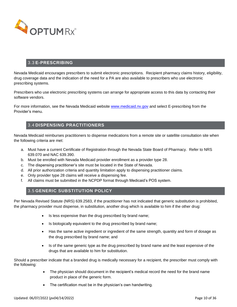

# 3.3 **E-PRESCRIBING**

<span id="page-9-0"></span>Nevada Medicaid encourages prescribers to submit electronic prescriptions. Recipient pharmacy claims history, eligibility, drug coverage data and the indication of the need for a PA are also available to prescribers who use electronic prescribing systems.

Prescribers who use electronic prescribing systems can arrange for appropriate access to this data by contacting their software vendors.

For more information, see the Nevada Medicaid website [www.medicaid.nv.gov](http://www.medicaid.nv.gov/) and select E-prescribing from the Provider's menu.

## 3.4 **DISPENSING PRACTITIONERS**

<span id="page-9-1"></span>Nevada Medicaid reimburses practitioners to dispense medications from a remote site or satellite consultation site when the following criteria are met:

- a. Must have a current Certificate of Registration through the Nevada State Board of Pharmacy. Refer to NRS 639.070 and NAC 639.390.
- b. Must be enrolled with Nevada Medicaid provider enrollment as a provider type 28.
- c. The dispensing practitioner's site must be located in the State of Nevada.
- d. All prior authorization criteria and quantity limitation apply to dispensing practitioner claims.
- e. Only provider type 28 claims will receive a dispensing fee.
- <span id="page-9-2"></span>f. All claims must be submitted in the NCPDP format through Medicaid's POS system.

## 3.5 **GENERIC SUBSTITUTION POLICY**

Per Nevada Revised Statute (NRS) 639.2583, if the practitioner has not indicated that generic substitution is prohibited, the pharmacy provider must dispense, in substitution, another drug which is available to him if the other drug:

- Is less expensive than the drug prescribed by brand name;
- Is biologically equivalent to the drug prescribed by brand name;
- Has the same active ingredient or ingredient of the same strength, quantity and form of dosage as the drug prescribed by brand name; and
- Is of the same generic type as the drug prescribed by brand name and the least expensive of the drugs that are available to him for substitution.

Should a prescriber indicate that a branded drug is medically necessary for a recipient, the prescriber must comply with the following:

- The physician should document in the recipient's medical record the need for the brand name product in place of the generic form.
- The certification must be in the physician's own handwriting.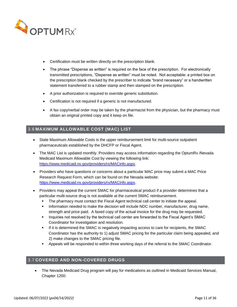

- Certification must be written directly on the prescription blank.
- The phrase "Dispense as written" is required on the face of the prescription. For electronically transmitted prescriptions, "Dispense as written" must be noted. Not acceptable: a printed box on the prescription blank checked by the prescriber to indicate "brand necessary" or a handwritten statement transferred to a rubber stamp and then stamped on the prescription.
- A prior authorization is required to override generic substitution.
- Certification is not required if a generic is not manufactured.
- A fax copy/verbal order may be taken by the pharmacist from the physician, but the pharmacy must obtain an original printed copy and it keep on file.

# <span id="page-10-0"></span>3.6 **MAXIMUM ALLOWABLE COST (MAC) LIST**

- State Maximum Allowable Costs is the upper reimbursement limit for multi-source outpatient pharmaceuticals established by the DHCFP or Fiscal Agent.
- The MAC List is updated monthly. Providers may access information regarding the OptumRx /Nevada Medicaid Maximum Allowable Cost by viewing the following link: [https://www.medicaid.nv.gov/providers/rx/MACinfo.aspx.](https://www.medicaid.nv.gov/providers/rx/MACinfo.aspx)
- Providers who have questions or concerns about a particular MAC price may submit a MAC Price Research Request Form, which can be found on the Nevada website: [https://www.medicaid.nv.gov/providers/rx/MACinfo.aspx.](https://www.medicaid.nv.gov/providers/rx/MACinfo.aspx)
- Providers may appeal the current SMAC for pharmaceutical product if a provider determines that a particular multi-source drug is not available at the current SMAC reimbursement.
	- **•** The pharmacy must contact the Fiscal Agent technical call center to initiate the appeal.
	- **•** Information needed to make the decision will include NDC number, manufacturer, drug name, strength and price paid. A faxed copy of the actual invoice for the drug may be requested.
	- **.** Inquiries not resolved by the technical call center are forwarded to the Fiscal Agent's SMAC Coordinator for investigation and resolution.
	- **.** If it is determined the SMAC is negatively impacting access to care for recipients, the SMAC Coordinator has the authority to 1) adjust SMAC pricing for the particular claim being appealed, and 2) make changes to the SMAC pricing file.
	- Appeals will be responded to within three working days of the referral to the SMAC Coordinator.

# <span id="page-10-1"></span>3.7 **COVERED AND NON-COVERED DRUGS**

• The Nevada Medicaid Drug program will pay for medications as outlined in Medicaid Services Manual, Chapter 1200: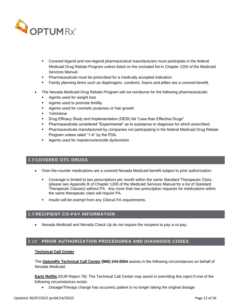

- Covered legend and non-legend pharmaceutical manufacturers must participate in the federal Medicaid Drug Rebate Program unless listed on the excluded list in Chapter 1200 of the Medicaid Services Manual.
- Pharmaceuticals must be prescribed for a medically accepted indication.
- **EXECT Family planning items such as diaphragms, condoms, foams and jellies are a covered benefit.**
- The Nevada Medicaid Drug Rebate Program will not reimburse for the following pharmaceuticals:
	- Agents used for weight loss
	- Agents used to promote fertility
	- Agents used for cosmetic purposes or hair growth
	- Yohimbine
	- Drug Efficacy Study and Implementation (DESI) list "Less than Effective Drugs"
	- Pharmaceuticals considered "Experimental" as to substance or diagnosis for which prescribed.
	- **Pharmaceuticals manufactured by companies not participating in the federal Medicaid Drug Rebate** Program unless rated "1-A" by the FDA.
	- Agents used for impotence/erectile dysfunction

#### <span id="page-11-0"></span>3.8 **COVERED OTC DRUGS**

- Over-the-counter medications are a covered Nevada Medicaid benefit subject to prior authorization:
	- **•** Coverage is limited to two prescriptions per month within the same Standard Therapeutic Class (please see Appendix B of Chapter 1200 of the Medicaid Services Manual for a list of Standard Therapeutic Classes) without PA. Any more than two prescription requests for medications within the same therapeutic class will require PA.
	- **·** Insulin will be exempt from any Clinical PA requirements.

#### <span id="page-11-1"></span>3.9 **RECIPIENT CO-PAY INFORMATION**

• Nevada Medicaid and Nevada Check Up do not require the recipient to pay a co-pay.

## <span id="page-11-2"></span>3.10 **PRIOR AUTHORIZATION PROCEDURES AND DIAGNOSIS CODES**

#### **Technical Call Center**

The **OptumRx Technical Call Center (866) 244-8554** assists in the following circumstances on behalf of Nevada Medicaid:

**Early Refills** (DUR Reject 79): The Technical Call Center may assist in overriding this reject if one of the following circumstances exists:

• Dosage/Therapy change has occurred; patient is no longer taking the original dosage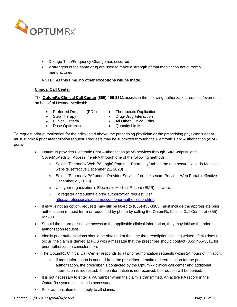

- Dosage Time/Frequency Change has occurred
- 2 strengths of the same drug are used to make a strength of that medication not currently manufactured

#### **NOTE: At this time, no other exceptions will be made.**

#### **Clinical Call Center**

The **OptumRx Clinical Call Center (855) 455-3311** assists in the following authorization requests/overrides on behalf of Nevada Medicaid:

- Preferred Drug List (PDL) Therapeutic Duplication
- 
- 
- **Dose Optimization** Quantity Limits
- 
- **Step Therapy Drug-Drug Interaction**
- Clinical Criteria All Other Clinical Edits
	-

To request prior authorization for the edits listed above, the prescribing physician or the prescribing physician's agent must submit a prior authorization request. Requests may be submitted through the Electronic Prior Authorization (ePA) portal.

- OptumRx provides Electronic Prior Authorization (ePA) services through SureScripts® and CoverMyMeds®. Access the ePA through one of the following methods:
	- o Select "Pharmacy Web PA Login" from the "Pharmacy" tab on the non-secure Nevada Medicaid website. (effective December 21, 2020)
	- o Select "Pharmacy PA" under "Provider Services" on the secure Provider Web Portal. (effective December 21, 2020)
	- o Use your organization's Electronic Medical Record (EMR) software.
	- o To register and submit a prior authorization request, visit: [https://professionals.optumrx.com/prior-authorization.html.](https://professionals.optumrx.com/prior-authorization.html)
- If ePA is not an option, requests may still be faxed to (855) 455-3303 (must include the appropriate prior authorization request form) or requested by phone by calling the OptumRx Clinical Call Center at (855) 455-3311.
- Should the pharmacist have access to the applicable clinical information, they may initiate the prior authorization request.
- Ideally prior authorizations should be obtained at the time the prescription is being written. If this does not occur, the claim is denied at POS with a message that the prescriber should contact (855) 455-3311 for prior authorization consideration.
- The OptumRx Clinical Call Center responds to all prior authorization requests within 24 hours of initiation.
	- $\circ$  If more information is needed from the prescriber to make a determination for the prior authorization, the prescriber is contacted by the OptumRx clinical call center and additional information is requested. If the information is not received, the request will be denied.
- It is not necessary to enter a PA number when the claim is transmitted. An active PA record in the OptumRx system is all that is necessary.
- Prior authorization edits apply to all claims.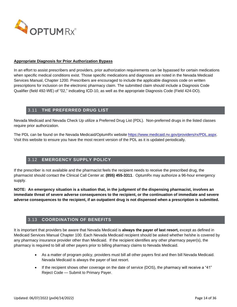

#### **Appropriate Diagnosis for Prior Authorization Bypass**

In an effort to assist prescribers and providers, prior authorization requirements can be bypassed for certain medications when specific medical conditions exist. Those specific medications and diagnoses are noted in the Nevada Medicaid Services Manual, Chapter 1200. Prescribers are encouraged to include the applicable diagnosis code on written prescriptions for inclusion on the electronic pharmacy claim. The submitted claim should include a Diagnosis Code Qualifier (field 492-WE) of "02," indicating ICD-10, as well as the appropriate Diagnosis Code (Field 424-DO).

## 3.11 **THE PREFERRED DRUG LIST**

<span id="page-13-0"></span>Nevada Medicaid and Nevada Check Up utilize a Preferred Drug List (PDL). Non-preferred drugs in the listed classes require prior authorization.

The PDL can be found on the Nevada Medicaid/OptumRx website [https://www.medicaid.nv.gov/providers/rx/PDL.aspx.](https://www.medicaid.nv.gov/providers/rx/PDL.aspx) Visit this website to ensure you have the most recent version of the PDL as it is updated periodically.

## 3.12 **EMERGENCY SUPPLY POLICY**

<span id="page-13-1"></span>If the prescriber is not available and the pharmacist feels the recipient needs to receive the prescribed drug, the pharmacist should contact the Clinical Call Center at: **(855) 455-3311**. OptumRx may authorize a 96-hour emergency supply.

**NOTE: An emergency situation is a situation that, in the judgment of the dispensing pharmacist, involves an immediate threat of severe adverse consequences to the recipient, or the continuation of immediate and severe adverse consequences to the recipient, if an outpatient drug is not dispensed when a prescription is submitted.**

# 3.13 **COORDINATION OF BENEFITS**

<span id="page-13-2"></span>It is important that providers be aware that Nevada Medicaid is **always the payer of last resort,** except as defined in Medicaid Services Manual Chapter 100. Each Nevada Medicaid recipient should be asked whether he/she is covered by any pharmacy insurance provider other than Medicaid. If the recipient identifies any other pharmacy payer(s), the pharmacy is required to bill all other payers prior to billing pharmacy claims to Nevada Medicaid.

- As a matter of program policy, providers must bill all other payers first and then bill Nevada Medicaid. Nevada Medicaid is always the payer of last resort.
- If the recipient shows other coverage on the date of service (DOS), the pharmacy will receive a "41" Reject Code — Submit to Primary Payer.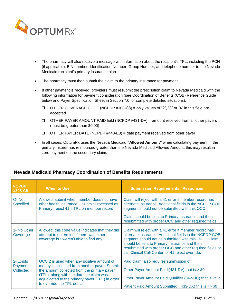

- The pharmacy will also receive a message with information about the recipient's TPL, including the PCN (if applicable), BIN number, Identification Number, Group Number, and telephone number to the Nevada Medicaid recipient's primary insurance plan.
- The pharmacy must then submit the claim to the primary insurance for payment.
- If other payment is received, providers must resubmit the prescription claim to Nevada Medicaid with the following information for payment consideration (see Coordination of Benefits (COB) Reference Guide below and Payer Specification Sheet in Section 7.0 for complete detailed situations):
	- $\Box$  OTHER COVERAGE CODE (NCPDP #308-C8) = only values of "2", "3" or "4" in this field are accepted
	- $\Box$  OTHER PAYER AMOUNT PAID field (NCPDP #431-DV) = amount received from all other payers (must be greater than \$0.00)
	- $\Box$  OTHER PAYER DATE (NCPDP #443-E8) = date payment received from other payer
- In all cases, OptumRx uses the Nevada Medicaid **"Allowed Amount"** when calculating payment. If the primary insurer has reimbursed greater than the Nevada Medicaid Allowed Amount, this may result in zero payment on the secondary claim.

| <b>NCPDP</b><br>#308-C8                  | <b>When to Use</b>                                                                                                                                                                                                                                                      | <b>Submission Requirements / Responses</b>                                                                                                                                                                                                                                                                                                 |
|------------------------------------------|-------------------------------------------------------------------------------------------------------------------------------------------------------------------------------------------------------------------------------------------------------------------------|--------------------------------------------------------------------------------------------------------------------------------------------------------------------------------------------------------------------------------------------------------------------------------------------------------------------------------------------|
| O-Not<br><b>Specified</b>                | Allowed; submit when member does not have<br>other health insurance. Submit Processed as<br>Primary, reject 41 if TPL on member record                                                                                                                                  | Claim will reject with a 41 error if member record has<br>alternate insurance. Additional fields in the NCPDP COB<br>segment should not be submitted with this OCC.                                                                                                                                                                        |
|                                          |                                                                                                                                                                                                                                                                         | Claim should be sent to Primary Insurance and then<br>resubmitted with proper OCC and other required fields.                                                                                                                                                                                                                               |
| 1- No Other<br>Coverage                  | Allowed; this code value indicates that they did<br>attempt to determine if there was other<br>coverage but weren't able to find any                                                                                                                                    | Claim will reject with a 41 error if member record has<br>alternate insurance. Additional fields in the NCPDP COB<br>segment should not be submitted with this OCC. Claim<br>should be sent to Primary Insurance and then<br>resubmitted with proper OCC and other required fields or<br>call Clinical Call Center for 41 reject override. |
| 2- Exists<br>Payment<br><b>Collected</b> | OCC 2 is used when any positive amount of<br>money is collected from another payer. Submit<br>the amount collected from the primary payer<br>(TPL), along with the date the claim was<br>adjudicated to the primary payer (TPL) in order<br>to override the TPL denial. | Paid claim; also requires submission of:<br>Other Payer Amount Paid (431-DV) that is > \$0<br>Other Payer Amount Paid Qualifier (342-HC) that is valid<br>Patient Paid Amount Submitted $(433-DX)$ this is $\Rightarrow$ \$0                                                                                                               |

# **Nevada Medicaid Pharmacy Coordination of Benefits Requirements**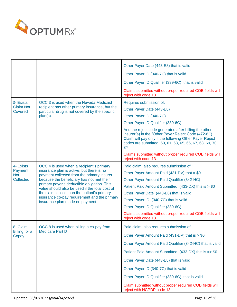

|                                    |                                                                                                                                                                                                                                                                                                                                                                          | Other Payer Date (443-E8) that is valid                                                                                                                                                                                                    |
|------------------------------------|--------------------------------------------------------------------------------------------------------------------------------------------------------------------------------------------------------------------------------------------------------------------------------------------------------------------------------------------------------------------------|--------------------------------------------------------------------------------------------------------------------------------------------------------------------------------------------------------------------------------------------|
|                                    |                                                                                                                                                                                                                                                                                                                                                                          | Other Payer ID (340-7C) that is valid                                                                                                                                                                                                      |
|                                    |                                                                                                                                                                                                                                                                                                                                                                          | Other Payer ID Qualifier (339-6C) that is valid                                                                                                                                                                                            |
|                                    |                                                                                                                                                                                                                                                                                                                                                                          | Claims submitted without proper required COB fields will<br>reject with code 13.                                                                                                                                                           |
| 3- Exists                          | OCC 3 is used when the Nevada Medicaid                                                                                                                                                                                                                                                                                                                                   | Requires submission of:                                                                                                                                                                                                                    |
| <b>Claim Not</b><br><b>Covered</b> | recipient has other primary insurance, but the<br>particular drug is not covered by the specific                                                                                                                                                                                                                                                                         | Other Payer Date (443-E8)                                                                                                                                                                                                                  |
|                                    | plan(s).                                                                                                                                                                                                                                                                                                                                                                 | Other Payer ID (340-7C)                                                                                                                                                                                                                    |
|                                    |                                                                                                                                                                                                                                                                                                                                                                          | Other Payer ID Qualifier (339-6C)                                                                                                                                                                                                          |
|                                    |                                                                                                                                                                                                                                                                                                                                                                          | And the reject code generated after billing the other<br>insurer(s) in the "Other Payer Reject Code (472-6E).<br>Claim will pay only if the following Other Payer Reject<br>codes are submitted: 60, 61, 63, 65, 66, 67, 68, 69, 70,<br>3Y |
|                                    |                                                                                                                                                                                                                                                                                                                                                                          | Claims submitted without proper required COB fields will<br>reject with code 13.                                                                                                                                                           |
| 4- Exists                          | OCC 4 is used when a recipient's primary                                                                                                                                                                                                                                                                                                                                 | Paid claim; also requires submission of :                                                                                                                                                                                                  |
| Payment<br><b>Not</b>              | insurance plan is active, but there is no<br>payment collected from the primary insurer<br>because the beneficiary has not met their<br>primary payer's deductible obligation. This<br>value should also be used if the total cost of<br>the claim is less than the patient's primary<br>insurance co-pay requirement and the primary<br>insurance plan made no payment. | Other Payer Amount Paid (431-DV) that = $$0$                                                                                                                                                                                               |
| <b>Collected</b>                   |                                                                                                                                                                                                                                                                                                                                                                          | Other Payer Amount Paid Qualifier (342-HC)                                                                                                                                                                                                 |
|                                    |                                                                                                                                                                                                                                                                                                                                                                          | Patient Paid Amount Submitted (433-DX) this is > \$0                                                                                                                                                                                       |
|                                    |                                                                                                                                                                                                                                                                                                                                                                          | Other Payer Date (443-E8) that is valid                                                                                                                                                                                                    |
|                                    |                                                                                                                                                                                                                                                                                                                                                                          | Other Payer ID (340-7C) that is valid                                                                                                                                                                                                      |
|                                    |                                                                                                                                                                                                                                                                                                                                                                          | Other Payer ID Qualifier (339-6C)                                                                                                                                                                                                          |
|                                    |                                                                                                                                                                                                                                                                                                                                                                          | Claims submitted without proper required COB fields will<br>reject with code 13.                                                                                                                                                           |
| 8- Claim<br><b>Billing for a</b>   | OCC 8 is used when billing a co-pay from<br>Medicare Part D                                                                                                                                                                                                                                                                                                              | Paid claim; also requires submission of:                                                                                                                                                                                                   |
| Copay                              |                                                                                                                                                                                                                                                                                                                                                                          | Other Payer Amount Paid (431-DV) that is > \$0                                                                                                                                                                                             |
|                                    |                                                                                                                                                                                                                                                                                                                                                                          | Other Payer Amount Paid Qualifier (342-HC) that is valid                                                                                                                                                                                   |
|                                    |                                                                                                                                                                                                                                                                                                                                                                          | Patient Paid Amount Submitted $(433-DX)$ this is $\Rightarrow$ \$0                                                                                                                                                                         |
|                                    |                                                                                                                                                                                                                                                                                                                                                                          | Other Payer Date (443-E8) that is valid                                                                                                                                                                                                    |
|                                    |                                                                                                                                                                                                                                                                                                                                                                          | Other Payer ID (340-7C) that is valid                                                                                                                                                                                                      |
|                                    |                                                                                                                                                                                                                                                                                                                                                                          | Other Payer ID Qualifier (339-6C) that is valid                                                                                                                                                                                            |
|                                    |                                                                                                                                                                                                                                                                                                                                                                          | Claim submitted without proper required COB fields will<br>reject with NCPDP code 13.                                                                                                                                                      |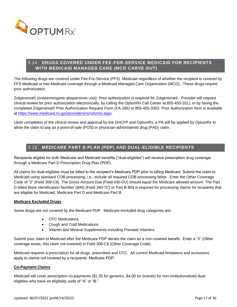

# <span id="page-16-0"></span>3.14 **DRUGS COVERED UNDER FEE-FOR-SERVICE MEDICAID FOR RECIPIENTS WITH MEDICAID MANAGED CARE (MCO CARVE OUT)**

The following drugs are covered under Fee-For-Service (FFS) Medicaid regardless of whether the recipient is covered by FFS Medicaid or has Medicaid coverage through a Medicaid Managed Care Organization (MCO). These drugs require prior authorization.

Zolgensma® (onasemnogene abeparvovec-xioi): Prior authorization is required for Zolgensma®. Provider will request clinical review for prior authorization electronically, by calling the OptumRx Call Center at 855-455-3311 or by faxing the completed Zolgensma® Prior Authorization Request Form (FA-166) to 855-455-3303. Prior Authorization form is available at [https://www.medicaid.nv.gov/providers/rx/rxforms.aspx.](https://www.medicaid.nv.gov/providers/rx/rxforms.aspx)

Upon completion of the clinical review and approval by the DHCFP and OptumRx, a PA will be applied by OptumRx to allow the claim to pay as a point-of-sale (POS) or physician-administered drug (PAD) claim.

# 3.15 **MEDICARE PART D PLAN (PDP) AND DUAL-ELIGIBLE RECIPIENTS**

<span id="page-16-1"></span>Recipients eligible for both Medicare and Medicaid benefits ("dual-eligibles") will receive prescription drug coverage through a Medicare Part D Prescription Drug Plan (PDP).

All claims for dual-eligibles must be billed to the recipient's Medicare PDP prior to billing Medicaid. Submit the claim to Medicaid using standard COB processing, i.e., include all required COB processing fields. Enter the Other Coverage Code of "2" (Field 308-C8). The Gross Amount Due (Field 430-DU) should equal the Medicare allowed amount. The Part D billed Bank Identification Number (BIN) (Field 340-7C) or Part B BIN is required for processing claims for recipients that are eligible for Medicaid, Medicare Part D and Medicare Part B.

#### **Medicare Excluded Drugs**

Some drugs are not covered by the Medicare PDP. Medicare excluded drug categories are:

- OTC Medications
- Cough and Cold Medications
- Vitamin and Mineral Supplements including Prenatal Vitamins

Submit your claim to Medicaid after the Medicare PDP denies the claim as a non-covered benefit. Enter a "3" (Other coverage exists, this claim not covered) in Field 308-C8 (Other Coverage Code).

Medicaid requires a prescription for all drugs, prescribed and OTC. All current Medicaid limitations and exclusions apply to claims not covered by a recipients' Medicare PDP.

#### **Co-Payment Claims**

Medicaid will cover prescription co-payments (\$1.35 for generics, \$4.00 for brands) for non-institutionalized dualeligibles who have an eligibility code of "A" or "B."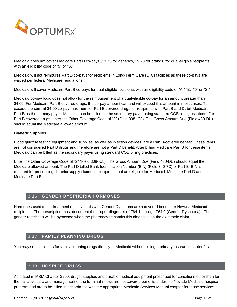

Medicaid does not cover Medicare Part D co-pays (\$3.70 for generics, \$9.20 for brands) for dual-eligible recipients with an eligibility code of "5" or "S."

Medicaid will not reimburse Part D co-pays for recipients in Long-Term Care (LTC) facilities as these co-pays are waived per federal Medicare regulations.

Medicaid will cover Medicare Part B co-pays for dual-eligible recipients with an eligibility code of "A," "B," "5" or "S."

Medicaid co-pay logic does not allow for the reimbursement of a dual-eligible co-pay for an amount greater than \$4.00. For Medicare Part B covered drugs, the co-pay amount can and will exceed this amount in most cases. To exceed the current \$4.00 co-pay maximum for Part B covered drugs for recipients with Part B and D, bill Medicare Part B as the primary payer. Medicaid can be billed as the secondary payer using standard COB billing practices. For Part B covered drugs, enter the Other Coverage Code of "2" (Field 308- C8). The Gross Amount Due (Field 430-DU) should equal the Medicare allowed amount.

#### **Diabetic Supplies**

Blood glucose testing equipment and supplies, as well as injection devices, are a Part B-covered benefit. These items are not considered Part D drugs and therefore are not a Part D benefit. After billing Medicare Part B for these items, Medicaid can be billed as the secondary payer using standard COB billing practices.

Enter the Other Coverage Code of "2" (Field 308- C8). The Gross Amount Due (Field 430-DU) should equal the Medicare allowed amount. The Part D billed Bank Identification Number (BIN) (Field 340-7C) or Part B BIN is required for processing diabetic supply claims for recipients that are eligible for Medicaid, Medicare Part D and Medicare Part B.

# 3.16 **GENDER DYSPHORIA HORMONES**

<span id="page-17-0"></span>Hormones used in the treatment of individuals with Gender Dysphoria are a covered benefit for Nevada Medicaid recipients. The prescription must document the proper diagnosis of F64.1 through F64.9 (Gender Dysphoria). The gender restriction will be bypassed when the pharmacy transmits this diagnosis on the electronic claim.

## 3.17 **FAMILY PLANNING DRUGS**

<span id="page-17-1"></span>You may submit claims for family planning drugs directly to Medicaid without billing a primary insurance carrier first.

## 3.18 **HOSPICE DRUGS**

<span id="page-17-2"></span>As stated in MSM Chapter 3200, drugs, supplies and durable medical equipment prescribed for conditions other than for the palliative care and management of the terminal illness are not covered benefits under the Nevada Medicaid hospice program and are to be billed in accordance with the appropriate Medicaid Services Manual chapter for those services.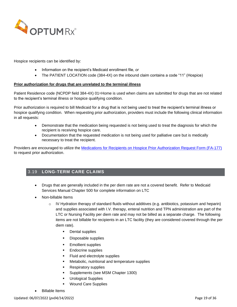

Hospice recipients can be identified by:

- Information on the recipient's Medicaid enrollment file, *or*
- The PATIENT LOCATION code (384-4X) on the inbound claim contains a code "11" (Hospice)

#### **Prior authorization for drugs that are unrelated to the terminal illness**

Patient Residence code (NCPDP field 384-4X) 01=Home is used when claims are submitted for drugs that are not related to the recipient's terminal illness or hospice qualifying condition.

Prior authorization is required to bill Medicaid for a drug that is not being used to treat the recipient's terminal illness or hospice qualifying condition. When requesting prior authorization, providers must include the following clinical information in all requests:

- Demonstrate that the medication being requested is not being used to treat the diagnosis for which the recipient is receiving hospice care.
- Documentation that the requested medication is not being used for palliative care but is medically necessary to treat the recipient.

Providers are encouraged to utilize the [Medications for Recipients on Hospice Prior Authorization Request Form](https://www.medicaid.nv.gov/Downloads/provider/FA-177.pdf) (FA-177) to request prior authorization.

# <span id="page-18-0"></span>3.19 **LONG-TERM CARE CLAIMS**

- Drugs that are generally included in the per diem rate are not a covered benefit. Refer to Medicaid Services Manual Chapter 500 for complete information on LTC
- Non-billable Items
	- o IV Hydration therapy of standard fluids without additives (e.g. antibiotics, potassium and heparin) and supplies associated with I.V. therapy, enteral nutrition and TPN administration are part of the LTC or Nursing Facility per diem rate and may not be billed as a separate charge. The following items are not billable for recipients in an LTC facility (they are considered covered through the per diem rate).
		- Dental supplies
		- Disposable supplies
		- Emollient supplies
		- Endocrine supplies
		- Fluid and electrolyte supplies
		- Metabolic, nutritional and temperature supplies
		- **Respiratory supplies**
		- **•** Supplements (see MSM Chapter 1300)
		- Urological Supplies
		- **Wound Care Supplies**
- Billable Items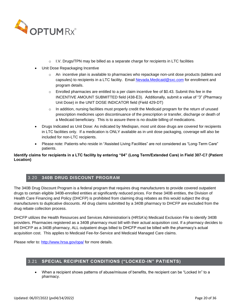

- $\circ$  I.V. Drugs/TPN may be billed as a separate charge for recipients in LTC facilities
- Unit Dose Repackaging Incentive
	- o An incentive plan is available to pharmacies who repackage non-unit dose products (tablets and capsules) to recipients in a LTC facility. Email [Nevada.Medicaid@sxc.com](mailto:Nevada.Medicaid@sxc.com) for enrollment and program details.
	- $\circ$  Enrolled pharmacies are entitled to a per claim incentive fee of \$0.43. Submit this fee in the INCENTIVE AMOUNT SUBMITTED field (438-E3). Additionally, submit a value of "3" (Pharmacy Unit Dose) in the UNIT DOSE INDICATOR field (Field 429-DT)
	- $\circ$  In addition, nursing facilities must properly credit the Medicaid program for the return of unused prescription medicines upon discontinuance of the prescription or transfer, discharge or death of a Medicaid beneficiary. This is to assure there is no double billing of medications.
- Drugs Indicated as Unit Dose: As indicated by Medispan, most unit dose drugs are covered for recipients in LTC facilities only. If a medication is ONLY available as in unit dose packaging, coverage will also be included for non-LTC recipients.
- Please note: Patients who reside in "Assisted Living Facilities" are not considered as "Long-Term Care" patients.

**Identify claims for recipients in a LTC facility by entering "04" (Long Term/Extended Care) in Field 307-C7 (Patient Location)**

# 3.20 **340B DRUG DISCOUNT PROGRAM**

<span id="page-19-0"></span>The 340B Drug Discount Program is a federal program that requires drug manufacturers to provide covered outpatient drugs to certain eligible 340B-enrolled entities at significantly reduced prices. For these 340B entities, the Division of Health Care Financing and Policy (DHCFP) is prohibited from claiming drug rebates as this would subject the drug manufacturers to duplicative discounts. All drug claims submitted by a 340B pharmacy to DHCFP are excluded from the drug rebate collection process.

DHCFP utilizes the Health Resources and Services Administration's (HRSA's) Medicaid Exclusion File to identify 340B providers. Pharmacies registered as a 340B pharmacy must bill with their actual acquisition cost. If a pharmacy decides to bill DHCFP as a 340B pharmacy, ALL outpatient drugs billed to DHCFP must be billed with the pharmacy's actual acquisition cost. This applies to Medicaid Fee-for-Service and Medicaid Managed Care claims.

Please refer to:<http://www.hrsa.gov/opa/> for more details.

## <span id="page-19-1"></span>3.21 **SPECIAL RECIPIENT CONDITIONS ("LOCKED-IN" PATIENTS)**

• When a recipient shows patterns of abuse/misuse of benefits, the recipient can be "Locked In" to a pharmacy.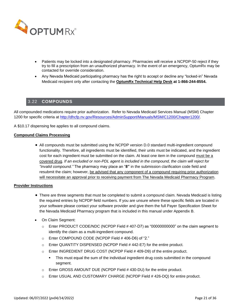

- Patients may be locked into a designated pharmacy. Pharmacies will receive a NCPDP-50 reject if they try to fill a prescription from an unauthorized pharmacy. In the event of an emergency, OptumRx may be contacted for override consideration.
- Any Nevada Medicaid participating pharmacy has the right to accept or decline any "locked-in" Nevada Medicaid recipient only after contacting the **OptumRx Technical Help Desk at 1-866-244-8554.**

## 3.22 **COMPOUNDS**

<span id="page-20-0"></span>All compounded medications require prior authorization. Refer to Nevada Medicaid Services Manual (MSM) Chapter 1200 for specific criteria at [http://dhcfp.nv.gov/Resources/AdminSupport/Manuals/MSM/C1200/Chapter1200/.](http://dhcfp.nv.gov/Resources/AdminSupport/Manuals/MSM/C1200/Chapter1200/)

A \$10.17 dispensing fee applies to all compound claims.

#### **Compound Claims Processing**

• All compounds must be submitted using the NCPDP version D.0 standard multi-ingredient compound functionality. Therefore, all ingredients must be identified, their units must be indicated, and the ingredient cost for each ingredient must be submitted on the claim. At least one item in the compound must be a covered drug. *If an excluded or non-PDL agent is included in the compound, the claim will reject for "invalid compound."* The pharmacy may place an "**8"** in the submission clarification code field and resubmit the claim; however, be advised that any component of a compound requiring prior authorization will necessitate an approval prior to receiving payment from The Nevada Medicaid Pharmacy Program.

#### **Provider Instructions**

- There are three segments that must be completed to submit a compound claim. Nevada Medicaid is listing the required entries by NCPDP field numbers. If you are unsure where these specific fields are located in your software please contact your software provider and give them the full Payer Specification Sheet for the Nevada Medicaid Pharmacy program that is included in this manual under Appendix B.
- On Claim Segment:
	- $\circ$  Enter PRODUCT CODE/NDC (NCPDP Field # 407-D7) as "00000000000" on the claim segment to identify the claim as a multi-ingredient compound.
	- o Enter COMPOUND CODE (NCPDP Field # 406-D6) of "2."
	- o Enter QUANTITY DISPENSED (NCPDP Field # 442-E7) for the entire product.
	- o Enter INGREDIENT DRUG COST (NCPDP Field # 409-D9) of the entire product.
		- This must equal the sum of the individual ingredient drug costs submitted in the compound segment.
	- o Enter GROSS AMOUNT DUE (NCPDP Field # 430-DU) for the entire product.
	- o Enter USUAL AND CUSTOMARY CHARGE (NCPDP Field # 426-DQ) for entire product.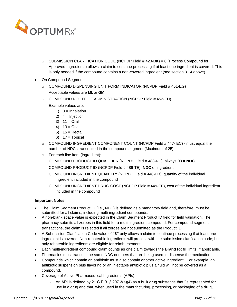

- $\circ$  SUBMISSION CLARIFICATION CODE (NCPDP Field # 420-DK) = 8 (Process Compound for Approved Ingredients) allows a claim to continue processing if at least one ingredient is covered. This is only needed if the compound contains a non-covered ingredient (see section 3.14 above).
- On Compound Segment:
	- $\circ$  COMPOUND DISPENSING UNIT FORM INDICATOR (NCPDP Field # 451-EG) Acceptable values are **ML** or **GM**
	- $\circ$  COMPOUND ROUTE OF ADMINISTRATION (NCPDP Field # 452-EH)
		- Example values are:
			- 1)  $3 = Inhalation$
			- 2)  $4 = Injection$
			- 3)  $11 =$  Oral
			- 4)  $13 =$  Otic
			- $5)$  15 = Rectal
			- 6)  $17 = \text{Topical}$
	- $\circ$  COMPOUND INGREDIENT COMPONENT COUNT (NCPDP Field #447-EC) must equal the number of NDCs transmitted in the compound segment (Maximum of 25)
	- o For each line item (ingredient):
		- COMPOUND PRODUCT ID QUALIFIER (NCPDP Field # 488-RE), always **03 = NDC**
		- COMPOUND PRODUCT ID (NCPDP Field # 489-TE), **NDC** of ingredient
		- COMPOUND INGREDIENT QUANTITY (NCPDP Field # 448-ED), quantity of the individual ingredient included in the compound
		- COMPOUND INGREDIENT DRUG COST (NCPDP Field # 449-EE), cost of the individual ingredient included in the compound

#### **Important Notes**

- The Claim Segment Product ID (i.e., NDC) is defined as a mandatory field and, therefore, must be submitted for all claims, including multi-ingredient compounds.
- A non-blank space value is expected in the Claim Segment Product ID field for field validation. The pharmacy submits all zeroes in this field for a multi-ingredient compound. For compound segment transactions, the claim is rejected if all zeroes are not submitted as the Product ID.
- A Submission Clarification Code value of **"8"** only allows a claim to continue processing if at least one ingredient is covered. Non-rebateable ingredients will process with the submission clarification code; but only rebateable ingredients are eligible for reimbursement.
- Each multi-ingredient compound claim counts as one claim towards the **Brand** Rx fill limits, if applicable.
- Pharmacies must transmit the same NDC numbers that are being used to dispense the medication.
- Compounds which contain an antibiotic must also contain another active ingredient. For example, an antibiotic suspension plus flavoring or an injectable antibiotic plus a fluid will not be covered as a compound.
- Coverage of Active Pharmaceutical Ingredients (APIs)
	- $\circ$  An API is defined by 21 C.F.R. § 207.3(a)(4) as a bulk drug substance that "is represented for use in a drug and that, when used in the manufacturing, processing, or packaging of a drug,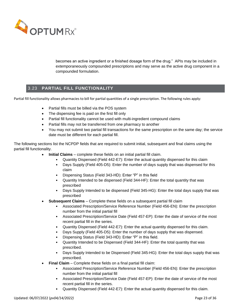

becomes an active ingredient or a finished dosage form of the drug." APIs may be included in extemporaneously compounded prescriptions and may serve as the active drug component in a compounded formulation.

# 3.23 **PARTIAL FILL FUNCTIONALITY**

<span id="page-22-0"></span>Partial fill functionality allows pharmacies to bill for partial quantities of a single prescription. The following rules apply:

- Partial fills must be billed via the POS system
- The dispensing fee is paid on the first fill only
- Partial fill functionality cannot be used with multi-ingredient compound claims
- Partial fills may not be transferred from one pharmacy to another
- You may not submit two partial fill transactions for the same prescription on the same day; the service date must be different for each partial fill.

The following sections list the NCPDP fields that are required to submit initial, subsequent and final claims using the partial fill functionality.

- **Initial Claims** complete these fields on an initial partial fill claim.
	- Quantity Dispensed (Field 442-E7): Enter the actual quantity dispensed for this claim
	- Days Supply (Field 405-D5): Enter the number of days supply that was dispensed for this claim
	- Dispensing Status (Field 343-HD): Enter "P" in this field
	- Quantity Intended to be dispensed (Field 344-HF): Enter the total quantity that was prescribed
	- Days Supply Intended to be dispensed (Field 345-HG): Enter the total days supply that was prescribed
- **Subsequent Claims** Complete these fields on a subsequent partial fill claim
	- Associated Prescription/Service Reference Number (Field 456-EN): Enter the prescription number from the initial partial fill
	- Associated Prescription/Service Date (Field 457-EP): Enter the date of service of the most recent partial fill in the series.
	- Quantity Dispensed (Field 442-E7): Enter the actual quantity dispensed for this claim.
	- Days Supply (Field 405-D5): Enter the number of days supply that was dispensed.
	- Dispensing Status (Field 343-HD): Enter "P" in this field.
	- Quantity Intended to be Dispensed (Field 344-HF): Enter the total quantity that was prescribed.
	- Days Supply Intended to be Dispensed (Field 345-HG): Enter the total days supply that was prescribed.
- **Final Claim** Complete these fields on a final partial fill claim:
	- Associated Prescription/Service Reference Number (Field 456-EN): Enter the prescription number from the initial partial fill
	- Associated Prescription/Service Date (Field 457-EP): Enter the date of service of the most recent partial fill in the series.
	- Quantity Dispensed (Field 442-E7): Enter the actual quantity dispensed for this claim.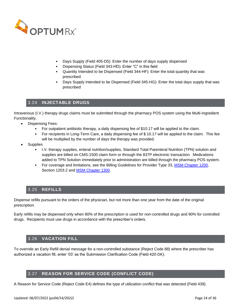

- Days Supply (Field 405-D5): Enter the number of days supply dispensed
- Dispensing Status (Field 343-HD): Enter "C" in this field
- Quantity Intended to be Dispensed (Field 344-HF): Enter the total quantity that was prescribed
- Days Supply Intended to be Dispensed (Field 345-HG): Enter the total days supply that was prescribed

## 3.24 **INJECTABLE DRUGS**

<span id="page-23-0"></span>Intravenous (I.V.) therapy drugs claims must be submitted through the pharmacy POS system using the Multi-Ingredient Functionality.

- Dispensing Fees:
	- For outpatient antibiotic therapy, a daily dispensing fee of \$10.17 will be applied to the claim.
	- For recipients in Long-Term Care, a daily dispensing fee of \$.10.17 will be applied to the claim. This fee will be multiplied by the number of days the therapy was provided.
- **Supplies** 
	- I.V. therapy supplies, enteral nutrition/supplies, Standard Total Parenteral Nutrition (TPN) solution and supplies are billed on CMS-1500 claim form or through the 837P electronic transaction. Medications added to TPN Solution immediately prior to administration are billed through the pharmacy POS system.
	- For coverage and limitations, see the Billing Guidelines for Provider Type 33, [MSM Chapter 1200,](http://dhcfp.nv.gov/Resources/AdminSupport/Manuals/MSM/C1200/Chapter1200/) Section 1203.2 and **MSM Chapter 1300**.

## 3.25 **REFILLS**

<span id="page-23-1"></span>Dispense refills pursuant to the orders of the physician, but not more than one year from the date of the original prescription.

Early refills may be dispensed only when 80% of the prescription is used for non-controlled drugs and 90% for controlled drugs. Recipients must use drugs in accordance with the prescriber's orders.

# 3.26 **VACATION FILL**

<span id="page-23-2"></span>To override an Early Refill denial message for a non-controlled substance (Reject Code 88) where the prescriber has authorized a vacation fill, enter '03' as the Submission Clarification Code (Field 420-DK).

# 3.27 **REASON FOR SERVICE CODE (CONFLICT CODE)**

<span id="page-23-3"></span>A Reason for Service Code (Reject Code E4) defines the type of utilization conflict that was detected (Field 439).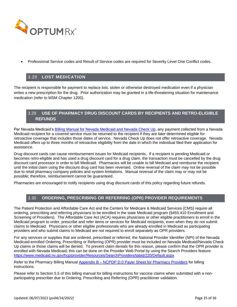

• Professional Service codes and Result of Service codes are required for Severity Level One Conflict codes.

## 3.28 **LOST MEDICATION**

<span id="page-24-0"></span>The recipient is responsible for payment to replace lost, stolen or otherwise destroyed medication even if a physician writes a new prescription for the drug. Prior authorization may be granted in a life-threatening situation for maintenance medication (refer to MSM Chapter 1200).

# <span id="page-24-1"></span>3.29 **USE OF PHARMACY DRUG DISCOUNT CARDS BY RECIPIENTS AND RETRO-ELIGIBLE REFUNDS**

Per Nevada Medicaid's **Billing Manual for Nevada Medicaid and Nevada Check Up**, any payment collected from a Nevada Medicaid recipient for a covered service must be returned to the recipient if they are later determined eligible for retroactive coverage that includes those dates of service. Nevada Check Up does not offer retroactive coverage. Nevada Medicaid offers up to three months of retroactive eligibility from the date in which the individual filed their application for assistance.

Drug discount cards can cause reimbursement issues for Medicaid recipients. If a recipient is pending Medicaid or becomes retro-eligible and has used a drug discount card for a drug claim, the transaction must be cancelled by the drug discount card processor in order to bill Medicaid. Pharmacies will be unable to bill Medicaid and reimburse the recipient until the initial claim using the discount drug card has been reversed. Online reversal of the claim may not be possible due to retail pharmacy company policies and system limitations. Manual reversal of the claim may or may not be possible; therefore, reimbursement cannot be guaranteed.

<span id="page-24-2"></span>Pharmacies are encouraged to notify recipients using drug discount cards of this policy regarding future refunds.

## 3.30 **ORDERING, PRESCRIBING OR REFERRING (OPR) PROVIDER REQUIREMENTS**

The Patient Protection and Affordable Care Act and the Centers for Medicare & Medicaid Services (CMS) require all ordering, prescribing and referring physicians to be enrolled in the state Medicaid program (§455.410 Enrollment and Screening of Providers). The Affordable Care Act (ACA) requires physicians or other eligible practitioners to enroll in the Medicaid program to order, prescribe and refer items or services for Medicaid recipients, even when they do not submit claims to Medicaid. Physicians or other eligible professionals who are already enrolled in Medicaid as participating providers and who submit claims to Medicaid are not required to enroll separately as OPR providers.

For any services or supplies that are ordered, prescribed or referred, the National Provider Identifier (NPI) of the Nevada Medicaid-enrolled Ordering, Prescribing or Referring (OPR) provider must be included on Nevada Medicaid/Nevada Check Up claims or those claims will be denied. To prevent claim denials for this reason, please confirm that the OPR provider is enrolled with Nevada Medicaid; this can be done on the Provider Web Portal by using the Search Providers feature: <https://www.medicaid.nv.gov/hcp/provider/Resources/SearchProviders/tabid/220/Default.aspx>

Refer to the Pharmacy Billing Manual Appendix B - [NCPDP D.0 Payer Sheet for Pharmacy Providers](https://www.medicaid.nv.gov/Downloads/provider/NV_BillingGuidelines_PT28_B.pdf) for billing instructions.

Please refer to Section 5.5 of this billing manual for billing instructions for vaccine claims when submitted with a nonparticipating prescriber due to Ordering, Prescribing and Referring (OPR) practitioner validation.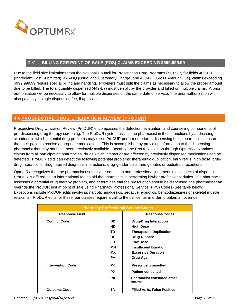

## 3.31 **BILLING FOR POINT-OF-SALE (POS) CLAIMS EXCEEDING \$999,999.99**

<span id="page-25-0"></span>Due to the field size limitations from the National Council for Prescription Drug Programs (NCPDP) for fields 409-D9 (Ingredient Cost Submitted), 426-DQ (Usual and Customary Charge) and 430-DU (Gross Amount Due), claims exceeding \$999,999.99 require special billing and handling. Providers must split the claims as necessary to allow the proper amount due to be billed. The total quantity dispensed (442-E7) must be split by the provider and billed on multiple claims. A prior authorization will be necessary to allow for multiple dispenses on the same date of service. The prior authorization will also pay only a single dispensing fee, if applicable.

# <span id="page-25-1"></span>**4.0 PROSPECTIVE DRUG UTILIZATION REVIEW (PRODUR)**

Prospective Drug Utilization Review (ProDUR) encompasses the detection, evaluation, and counseling components of pre-dispensing drug therapy screening. The ProDUR system assists the pharmacist in these functions by addressing situations in which potential drug problems may exist. ProDUR performed prior to dispensing helps pharmacists ensure that their patients receive appropriate medications. This is accomplished by providing information to the dispensing pharmacist that may not have been previously available. Because the ProDUR solution through OptumRx examines claims from all participating pharmacies, drugs which interact or are affected by previously dispensed medications can be detected. ProDUR edits can detect the following potential problems: therapeutic duplication, early refills, high dose, drugdrug interactions, drug-inferred diagnosis interactions, drug-gender edits, and geriatric or pediatric precautions.

OptumRx recognizes that the pharmacist uses his/her education and professional judgment in all aspects of dispensing. ProDUR is offered as an informational tool to aid the pharmacist in performing his/her professional duties. If a pharmacist assesses a potential drug therapy problem, and determines that the prescription should be dispensed, the pharmacist can override the ProDUR edit at point of sale using Pharmacy Professional Service (PPS) Codes (See table below). Exceptions include ProDUR edits involving: narcotic analgesics, sedative hypnotics, benzodiazepines or skeletal muscle relaxants. ProDUR edits for these four classes require a call to the call center in order to obtain an override.

| <b>Pharmacy Professional Service Codes</b> |                |                                             |
|--------------------------------------------|----------------|---------------------------------------------|
| <b>Response Field</b>                      |                | <b>Response Codes</b>                       |
| <b>Conflict Code</b>                       | DD.            | <b>Drug-Drug Interaction</b>                |
|                                            | <b>HD</b>      | <b>High Dose</b>                            |
|                                            | TD             | <b>Therapeutic Duplication</b>              |
|                                            | DC             | <b>Drug-Disease</b>                         |
|                                            | LD             | <b>Low Dose</b>                             |
|                                            | МN             | <b>Insufficient Duration</b>                |
|                                            | <b>MX</b>      | <b>Excessive Duration</b>                   |
|                                            | <b>PA</b>      | Drug-Age                                    |
| <b>Intervention Code</b>                   | M <sub>0</sub> | <b>Prescriber consulted</b>                 |
|                                            | P <sub>0</sub> | <b>Patient consulted</b>                    |
|                                            | R <sub>0</sub> | <b>Pharmacist consulted other</b><br>source |
| <b>Outcome Code</b>                        | 1Α             | <b>Filled As Is, False Positive</b>         |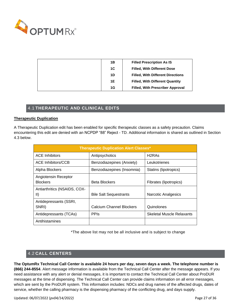

| 1B | <b>Filled Prescription As IS</b>         |
|----|------------------------------------------|
| 1C | <b>Filled, With Different Dose</b>       |
| 1D | <b>Filled, With Different Directions</b> |
| 1E | <b>Filled, With Different Quantity</b>   |
| 1G | <b>Filled, With Prescriber Approval</b>  |

# 4.1 **THERAPEUTIC AND CLINICAL EDITS**

#### <span id="page-26-0"></span>**Therapeutic Duplication**

A Therapeutic Duplication edit has been enabled for specific therapeutic classes as a safety precaution. Claims encountering this edit are denied with an NCPDP "88" Reject - TD. Additional information is shared as outlined in Section 4.3 below.

| <b>Therapeutic Duplication Alert Classes*</b> |                               |                                  |  |  |
|-----------------------------------------------|-------------------------------|----------------------------------|--|--|
| <b>ACE Inhibitors</b>                         | Antipsychotics                | H <sub>2</sub> RA <sub>S</sub>   |  |  |
| ACE Inhibitors/CCB                            | Benzodiazepines (Anxiety)     | Leukotrienes                     |  |  |
| Alpha Blockers                                | Benzodiazepines (Insomnia)    | Statins (lipotropics)            |  |  |
| Angiotensin Receptor<br><b>Blockers</b>       | <b>Beta Blockers</b>          | Fibrates (lipotropics)           |  |  |
| Antiarthritics (NSAIDS, COX-<br>$\vert \vert$ | <b>Bile Salt Sequestrants</b> | Narcotic Analgesics              |  |  |
| Antidepressants (SSRI,<br>SNRI)               | Calcium Channel Blockers      | Quinolones                       |  |  |
| Antidepressants (TCAs)                        | <b>PPIS</b>                   | <b>Skeletal Muscle Relaxants</b> |  |  |
| Antihistamines                                |                               |                                  |  |  |

\*The above list may not be all inclusive and is subject to change

# 4.2 **CALL CENTERS**

<span id="page-26-1"></span>**The OptumRx Technical Call Center is available 24 hours per day, seven days a week. The telephone number is (866) 244-8554**. Alert message information is available from the Technical Call Center after the message appears. If you need assistance with any alert or denial messages, it is important to contact the Technical Call Center about ProDUR messages at the time of dispensing. The Technical Call Center can provide claims information on all error messages, which are sent by the ProDUR system. This information includes: NDCs and drug names of the affected drugs, dates of service, whether the calling pharmacy is the dispensing pharmacy of the conflicting drug, and days supply.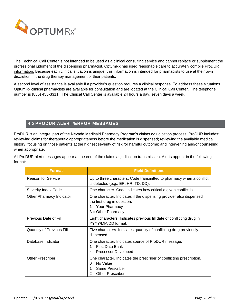

The Technical Call Center is not intended to be used as a clinical consulting service and cannot replace or supplement the professional judgment of the dispensing pharmacist. OptumRx has used reasonable care to accurately compile ProDUR information. Because each clinical situation is unique, this information is intended for pharmacists to use at their own discretion in the drug therapy management of their patients.

A second level of assistance is available if a provider's question requires a clinical response. To address these situations, OptumRx clinical pharmacists are available for consultation and are located at the Clinical Call Center. The telephone number is (855) 455-3311. The Clinical Call Center is available 24 hours a day, seven days a week.

# 4.3 **PRODUR ALERT/ERROR MESSAGES**

<span id="page-27-0"></span>ProDUR is an integral part of the Nevada Medicaid Pharmacy Program's claims adjudication process. ProDUR includes: reviewing claims for therapeutic appropriateness before the medication is dispensed; reviewing the available medical history; focusing on those patients at the highest severity of risk for harmful outcome; and intervening and/or counseling when appropriate.

All ProDUR alert messages appear at the end of the claims adjudication transmission. Alerts appear in the following format:

| <b>Format</b>             | <b>Field Definitions</b>                                                                                                                         |
|---------------------------|--------------------------------------------------------------------------------------------------------------------------------------------------|
| Reason for Service        | Up to three characters. Code transmitted to pharmacy when a conflict<br>is detected (e.g., ER, HR, TD, DD).                                      |
| Severity Index Code       | One character. Code indicates how critical a given conflict is.                                                                                  |
| Other Pharmacy Indicator  | One character. Indicates if the dispensing provider also dispensed<br>the first drug in question.<br>$1 =$ Your Pharmacy<br>$3 =$ Other Pharmacy |
| Previous Date of Fill     | Eight characters. Indicates previous fill date of conflicting drug in<br>YYYY/MM/DD format.                                                      |
| Quantity of Previous Fill | Five characters. Indicates quantity of conflicting drug previously<br>dispensed.                                                                 |
| Database Indicator        | One character. Indicates source of ProDUR message.<br>$1 =$ First Data Bank<br>$4 =$ Processor Developed                                         |
| <b>Other Prescriber</b>   | One character. Indicates the prescriber of conflicting prescription.<br>$0 = No$ Value<br>$1 =$ Same Prescriber<br>$2 =$ Other Prescriber        |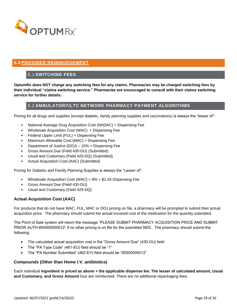

# <span id="page-28-1"></span><span id="page-28-0"></span>**5.0 PROVIDER REIMBURSEMENT**

# 5.1 **SWITCHING FEES**

**OptumRx does NOT charge any switching fees for any claims. Pharmacies may be charged switching fees by their individual "claims switching service." Pharmacies are encouraged to consult with their claims switching service for further details.**

## 5.2 **AMBULATORY/LTC NETWORK PHARMACY PAYMENT ALGORITHMS**

<span id="page-28-2"></span>Pricing for all drugs and supplies (except diabetic, family planning supplies and vaccinations) is always the "lesser of":

- National Average Drug Acquisition Cost (NADAC) + Dispensing Fee
- Wholesale Acquisition Cost (WAC) + Dispensing Fee
- Federal Upper Limit (FUL) + Dispensing Fee
- Maximum Allowable Cost (MAC) + Dispensing Fee
- Department of Justice (DOJ) 15% + Dispensing Fee
- Gross Amount Due (Field 430-DU) (Submitted)
- Usual and Customary (Field 425-DQ) (Submitted)
- Actual Acquisition Cost (AAC) (Submitted)

Pricing for Diabetic and Family Planning Supplies is always the "Lesser of":

- Wholesale Acquisition Cost (WAC)  $+8\% + $1.54$  Dispensing Fee
- Gross Amount Due (Field 430-DU)
- Usual and Customary (Field 425-DQ)

#### **Actual Acquisition Cost (AAC)**

For products that do not have WAC, FUL, MAC or DOJ pricing on file, a pharmacy will be prompted to submit their actual acquisition price. The pharmacy should submit the actual invoiced cost of the medication for the quantity submitted.

The Point of Sale system will return the message "PLEASE SUBMIT PHARMACY ACQUISITION PRICE AND SUBMIT PRIOR AUTH #00000000012" if no other pricing is on file for the submitted NDC. The pharmacy should submit the following:

- The calculated actual acquisition cost in the "Gross Amount Due" (430-DU) field
- The "PA Type Code" (461-EU) field should be "1"
- The "PA Number Submitted" (462-EV) field should be "00000000012"

#### **Compounds (Other than Home I.V. antibiotics)**

Each individual **ingredient is priced as above + the applicable dispense fee. The lesser of calculated amount, Usual and Customary, and Gross Amount** Due are reimbursed. There are no additional repackaging fees.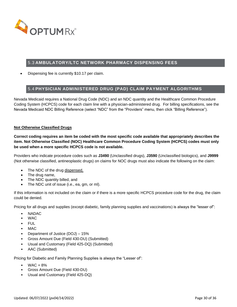

# 5.3 **AMBULATORY/LTC NETWORK PHARMACY DISPENSING FEES**

<span id="page-29-0"></span>• Dispensing fee is currently \$10.17 per claim.

# 5.4 **PHYSICIAN ADMINISTERED DRUG (PAD) CLAIM PAYMENT ALGORITHMS**

<span id="page-29-1"></span>Nevada Medicaid requires a National Drug Code (NDC) and an NDC quantity and the Healthcare Common Procedure Coding System (HCPCS) code for each claim line with a physician-administered drug. For billing specifications, see the Nevada Medicaid NDC Billing Reference (select "NDC" from the "Providers" menu, then click "Billing Reference").

#### **Not Otherwise Classified Drugs**

**Correct coding requires an item be coded with the most specific code available that appropriately describes the item. Not Otherwise Classified (NOC) Healthcare Common Procedure Coding System (HCPCS) codes must only be used when a more specific HCPCS code is not available.**

Providers who indicate procedure codes such as **J3490** (Unclassified drugs), **J3590** (Unclassified biologics), and **J9999**  (Not otherwise classified, antineoplastic drugs) on claims for NOC drugs must also indicate the following on the claim:

- The NDC of the drug dispensed,
- The drug name,
- The NDC quantity billed, and
- The NDC unit of issue (i.e., ea, gm, or ml).

If this information is not included on the claim or if there is a more specific HCPCS procedure code for the drug, the claim could be denied.

Pricing for all drugs and supplies (except diabetic, family planning supplies and vaccinations) is always the "lesser of":

- NADAC
- WAC
- FUL
- MAC
- Department of Justice (DOJ) 15%
- Gross Amount Due (Field 430-DU) (Submitted)
- Usual and Customary (Field 425-DQ) (Submitted)
- AAC (Submitted)

Pricing for Diabetic and Family Planning Supplies is always the "Lesser of":

- $\bullet$  WAC + 8%
- Gross Amount Due (Field 430-DU)
- Usual and Customary (Field 425-DQ)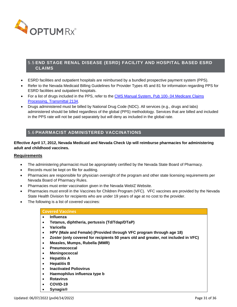

# <span id="page-30-0"></span>5.5 **END STAGE RENAL DISEASE (ESRD) FACILITY AND HOSPITAL BASED ESRD CLAIMS**

- ESRD facilities and outpatient hospitals are reimbursed by a bundled prospective payment system (PPS).
- Refer to the Nevada Medicaid Billing Guidelines for Provider Types 45 and 81 for information regarding PPS for ESRD facilities and outpatient hospitals.
- For a list of drugs included in the PPS, refer to the [CMS Manual System, Pub 100-](https://www.cms.gov/Regulations-and-Guidance/Guidance/Transmittals/downloads/R2134CP.pdf)04 Medicare Claims [Processing, Transmittal 2134.](https://www.cms.gov/Regulations-and-Guidance/Guidance/Transmittals/downloads/R2134CP.pdf)
- Drugs administered must be billed by National Drug Code (NDC). All services (e.g., drugs and labs) administered should be billed regardless of the global (PPS) methodology. Services that are billed and included in the PPS rate will not be paid separately but will deny as included in the global rate.

# <span id="page-30-1"></span>5.6 **PHARMACIST ADMINISTERED VACCINATIONS**

## **Effective April 17, 2012, Nevada Medicaid and Nevada Check Up will reimburse pharmacies for administering adult and childhood vaccines.**

## **Requirements**

- The administering pharmacist must be appropriately certified by the Nevada State Board of Pharmacy.
- Records must be kept on file for auditing.
- Pharmacies are responsible for physician oversight of the program and other state licensing requirements per Nevada Board of Pharmacy Rules.
- Pharmacies must enter vaccination given in the Nevada WebIZ Website.
- Pharmacies must enroll in the Vaccines for Children Program (VFC). VFC vaccines are provided by the Nevada State Health Division for recipients who are under 19 years of age at no cost to the provider.
- The following is a list of covered vaccines:

#### **Covered Vaccines**

- **Influenza**
- **Tetanus, diphtheria, pertussis (Td/Tdap/DTaP)**
- **Varicella**
- **HPV (Male and Female) (Provided through VFC program through age 18)**
- **Zoster (only covered for recipients 50 years old and greater, not included in VFC)**
- **Measles, Mumps, Rubella (MMR)**
- **Pneumococcal**
- **Meningococcal**
- **Hepatitis A**
- **Hepatitis B**
- **Inactivated Poliovirus**
- **Haemophilus influenza type b**
- **Rotavirus**
- **COVID-19**
- **Synagis®**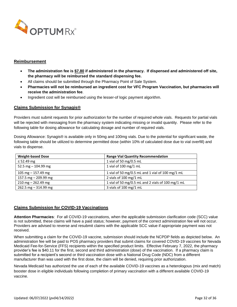

#### **Reimbursement**

- **The administration fee is \$7.80 if administered in the pharmacy. If dispensed and administered off site, the pharmacy will be reimbursed the standard dispensing fee.**
- All claims should be submitted through the Pharmacy Point of Sale System.
- **Pharmacies will not be reimbursed an ingredient cost for VFC Program Vaccination, but pharmacies will receive the administration fee**.
- Ingredient cost will be reimbursed using the lesser-of logic payment algorithm.

## **Claims Submission for Synagis®**

Providers must submit requests for prior authorization for the number of required whole vials. Requests for partial vials will be rejected with messaging from the pharmacy system indicating missing or invalid quantity. Please refer to the following table for dosing allowance for calculating dosage and number of required vials.

Dosing Allowance: Synagis® is available only in 50mg and 100mg vials. Due to the potential for significant waste, the following table should be utilized to determine permitted dose (within 10% of calculated dose due to vial overfill) and vials to dispense.

| <b>Weight-based Dose</b> | <b>Range Vial Quantity Recommendation</b>         |
|--------------------------|---------------------------------------------------|
| $\leq$ 52.49 mg          | 1 vial of 50 mg/0.5 mL                            |
| 52.5 mg $-$ 104.99 mg    | 1 vial of 100 mg/1 mL                             |
| 105 mg $-$ 157.49 mg     | 1 vial of 50 mg/0.5 mL and 1 vial of 100 mg/1 mL  |
| 157.5 mg $-$ 209.99 mg   | 2 vials of 100 mg/1 mL                            |
| $210$ mg $- 262.49$ mg   | 1 vial of 50 mg/0.5 mL and 2 vials of 100 mg/1 mL |
| 262.5 mg $-$ 314.99 mg   | 3 vials of 100 mg/1 mL                            |

## **Claims Submission for COVID-19 Vaccinations**

**Attention Pharmacies**: For all COVID-19 vaccinations, when the applicable submission clarification code (SCC) value is not submitted, these claims will have a paid status; however, payment of the correct administration fee will not occur. Providers are advised to reverse and resubmit claims with the applicable SCC value if appropriate payment was not received.

When submitting a claim for the COVID-19 vaccine, submission should include the NCPDP fields as depicted below. An administration fee will be paid to POS pharmacy providers that submit claims for covered COVID-19 vaccines for Nevada Medicaid Fee-for-Service (FFS) recipients within the specified product limits. Effective February 7, 2022, the pharmacy provider's fee is \$40.11 for the first, second and third administration (dose) of the vaccination. If a pharmacy claim is submitted for a recipient's second or third vaccination dose with a National Drug Code (NDC) from a different manufacturer than was used with the first dose, the claim will be denied, requiring prior authorization.

Nevada Medicaid has authorized the use of each of the available COVID-19 vaccines as a heterologous (mix and match) booster dose in eligible individuals following completion of primary vaccination with a different available COVID-19 vaccine.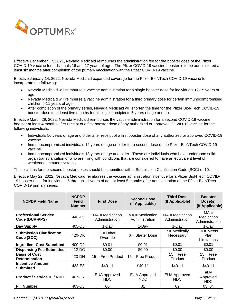

Effective December 17, 2021, Nevada Medicaid reimburses the administration fee for the booster dose of the Pfizer COVID-19 vaccine for individuals 16 and 17 years of age. The Pfizer COVID-19 vaccine booster is to be administered at least six months after completion of the primary vaccination with the Pfizer COVID-19 vaccine.

Effective January 14, 2022, Nevada Medicaid expanded coverage for the Pfizer BioNTech COVID-19 vaccine to incorporate the following:

- Nevada Medicaid will reimburse a vaccine administration for a single booster dose for individuals 12-15 years of age.
- Nevada Medicaid will reimburse a vaccine administration for a third primary dose for certain immunocompromised children 5-11 years of age.
- After completion of the primary series, Nevada Medicaid will shorten the time for the Pfizer BioNTech COVID-19 booster dose to at least five months for all eligible recipients 5 years of age and up.

Effective March 29, 2022, Nevada Medicaid reimburses the vaccine administration for a second COVID-19 vaccine booster at least 4 months after receipt of a first booster dose of any authorized or approved COVID-19 vaccine for the following individuals:

- Individuals 50 years of age and older after receipt of a first booster dose of any authorized or approved COVID-19 vaccine.
- Immunocompromised individuals 12 years of age or older for a second dose of the Pfizer-BioNTech COVID-19 vaccine.
- Immunocompromised individuals 18 years of age and older. These are individuals who have undergone solid organ transplantation or who are living with conditions that are considered to have an equivalent level of weakened immune systems.

These claims for the second booster doses should be submitted with a Submission Clarification Code (SCC) of 10.

Effective May 22, 2022, Nevada Medicaid reimburses the vaccine administration incentive for a Pfizer BioNTech COVID-19 booster dose for individuals 5 through 11 years of age at least 5 months after administration of the Pfizer BioNTech COVID-19 primary series.

| <b>NCPDP Field Name</b>                       | <b>NCPDP</b><br><b>Field</b><br><b>Number</b> | <b>First Dose</b>                 | <b>Second Dose</b><br>(If Applicable) | <b>Third Dose</b><br>(If Applicable) | <b>Booster</b><br>Dose(s)<br>(If Applicable) |
|-----------------------------------------------|-----------------------------------------------|-----------------------------------|---------------------------------------|--------------------------------------|----------------------------------------------|
| <b>Professional Service</b><br>Code (DUR-PPS) | 440-E5                                        | $MA = Medicine$<br>Administration | $MA = Medicine$<br>Administration     | $MA = Medicine$<br>Administration    | $MA =$<br>Medication<br>Administration       |
| Day Supply                                    | 405-D5                                        | 1-Day                             | 1-Day                                 | 1-Dav                                | 1-Dav                                        |
| <b>Submission Clarification</b><br>Code (SCC) | 420-DK                                        | $2 = Other$<br>Override           | $6 =$ Starter Dose                    | $7 =$ Medically<br>Necessary         | $10 = Meets$<br><b>Plan</b><br>Limitations   |
| <b>Ingredient Cost Submitted</b>              | 409-D9                                        | \$0.01                            | \$0.01                                | \$0.01                               | \$0.01                                       |
| <b>Dispensing Fee Submitted</b>               | 412-DC                                        | \$0.00                            | \$0.00                                | \$0.00                               | \$0.00                                       |
| <b>Basis of Cost</b><br><b>Determination</b>  | 423-DN                                        | $15 =$ Free Product               | $15 =$ Free Product                   | $15 =$ Free<br>Product               | $15 =$ Free<br>Product                       |
| <b>Incentive Amount</b><br><b>Submitted</b>   | 438-E3                                        | \$40.11                           | \$40.11                               | \$40.11                              | \$40.11                                      |
| <b>Product / Service ID / NDC</b>             | 407-D7                                        | EUA approved<br>NDC.              | <b>EUA Approved</b><br>NDC.           | <b>EUA Approved</b><br>NDC.          | <b>EUA</b><br>Approved<br>NDC.               |
| <b>Fill Number</b>                            | 403-D3                                        | 00                                | 01                                    | 02                                   | 03, 04                                       |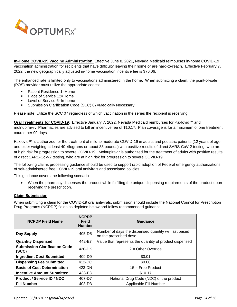

**In-Home COVID-19 Vaccine Administration**: Effective June 8, 2021, Nevada Medicaid reimburses in-home COVID-19 vaccination administration for recipients that have difficulty leaving their home or are hard-to-reach. Effective February 7, 2022, the new geographically adjusted in-home vaccination incentive fee is \$76.06.

The enhanced rate is limited only to vaccinations administered in the home. When submitting a claim, the point-of-sale (POS) provider must utilize the appropriate codes:

- Patient Residence 1=Home
- Place of Service 12=Home
- Level of Service 6=In-home
- Submission Clarification Code (SCC) 07=Medically Necessary

Please note: Utilize the SCC 07 regardless of which vaccination in the series the recipient is receiving.

**Oral Treatments for COVID-19**: Effective January 7, 2022, Nevada Medicaid reimburses for Paxlovid™ and molnupiravir. Pharmacies are advised to bill an incentive fee of \$10.17. Plan coverage is for a maximum of one treatment course per 90 days.

Paxlovid™ is authorized for the treatment of mild to moderate COVID-19 in adults and pediatric patients (12 years of age and older weighing at least 40 kilograms or about 88 pounds) with positive results of direct SARS-CoV-2 testing, who are at high risk for progression to severe COVID-19. Molnupiravir is authorized for the treatment of adults with positive results of direct SARS-CoV-2 testing, who are at high risk for progression to severe COVID-19.

The following claims processing guidance should be used to support rapid adoption of Federal emergency authorizations of self-administered free COVID-19 oral antivirals and associated policies.

This guidance covers the following scenario:

• When the pharmacy dispenses the product while fulfilling the unique dispensing requirements of the product upon receiving the prescription.

#### **Claim Submission**

When submitting a claim for the COVID-19 oral antivirals, submission should include the National Council for Prescription Drug Programs (NCPDP) fields as depicted below and follow recommended guidance.

| <b>NCPDP Field Name</b>                       | <b>NCPDP</b><br>Field<br><b>Number</b> | Guidance                                                                         |
|-----------------------------------------------|----------------------------------------|----------------------------------------------------------------------------------|
| Day Supply                                    | 405-D5                                 | Number of days the dispensed quantity will last based<br>on the prescribed dose. |
| <b>Quantity Dispensed</b>                     | 442-E7                                 | Value that represents the quantity of product dispensed                          |
| <b>Submission Clarification Code</b><br>(SCC) | 420-DK                                 | $2 =$ Other Override                                                             |
| <b>Ingredient Cost Submitted</b>              | 409-D9                                 | \$0.01                                                                           |
| <b>Dispensing Fee Submitted</b>               | 412-DC                                 | \$0.00                                                                           |
| <b>Basis of Cost Determination</b>            | 423-DN                                 | $15$ = Free Product                                                              |
| <b>Incentive Amount Submitted</b>             | 438-E3                                 | \$10.17                                                                          |
| <b>Product / Service ID / NDC</b>             | 407-D7                                 | National Drug Code (NDC) of the product                                          |
| <b>Fill Number</b>                            | 403-D3                                 | Applicable Fill Number                                                           |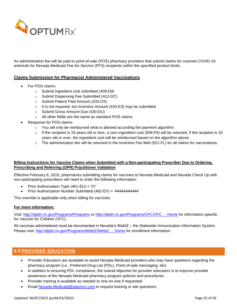

An administration fee will be paid to point-of-sale (POS) pharmacy providers that submit claims for covered COVID-19 antivirals for Nevada Medicaid Fee-for-Service (FFS) recipients within the specified product limits.

#### **Claims Submission for Pharmacist Administered Vaccinations**

- For POS claims:
	- o Submit ingredient cost submitted (409-D9)
	- o Submit Dispensing Fee Submitted (412-DC)
	- o Submit Patient Paid Amount (433-DX)
	- $\circ$  It is not required, but Incentive Amount (433-E3) may be submitted
	- o Submit Gross Amount Due (430-DU)
	- o All other fields are the same as standard POS claims.
- Response for POS claims:
	- o You will only be reimbursed what is allowed according the payment algorithm.
	- $\circ$  If the recipient is 18 years old or less, a zero ingredient cost (506-F6) will be returned, if the recipient is 19 years old or over, the ingredient cost will be reimbursed based on the algorithm above.
	- o The administration fee will be returned in the Incentive Fee field (521-FL) for all claims for vaccinations.

## **Billing Instructions for Vaccine Claims when Submitted with a Non-participating Prescriber Due to Ordering, Prescribing and Referring (OPR) Practitioner Validation**

Effective February 6, 2015, pharmacies submitting claims for vaccines to Nevada Medicaid and Nevada Check Up with non-participating prescribers will need to enter the following information:

- Prior Authorization Type (461-EU) = '01'
- Prior Authorization Number Submitted (462-EV) = '44444444444'

This override is applicable only when billing for vaccines.

#### **For more information:**

Visit:<http://dpbh.nv.gov/Programs/Programs> or [http://dpbh.nv.gov/Programs/VFC/VFC\\_-\\_Home](http://dpbh.nv.gov/Programs/VFC/VFC_-_Home) for information specific for Vaccine for Children (VFC).

All vaccines administered must be documented in Nevada's WebIZ – the Statewide Immunization Information System. Please visit: http://dpbh.nv.gov/Programs/WebIZ/WebIZ - Home for enrollment information.

## <span id="page-34-0"></span>**6.0 PROVIDER EDUCATION**

- Provider Educators are available to assist Nevada Medicaid providers who may have questions regarding the pharmacy program (i.e., Preferred Drug List (PDL), Point-of-sale messaging, etc).
- In addition to ensuring PDL compliance, the overall objective for provider educators is to improve provider awareness of the Nevada Medicaid pharmacy program policies and procedures.
- Provider training is available as needed or one-on-one if requested.
- Email [Nevada.Medicaid@optumrx.com](mailto:Nevada.Medicaid@optumrx.com) to request training or ask questions.